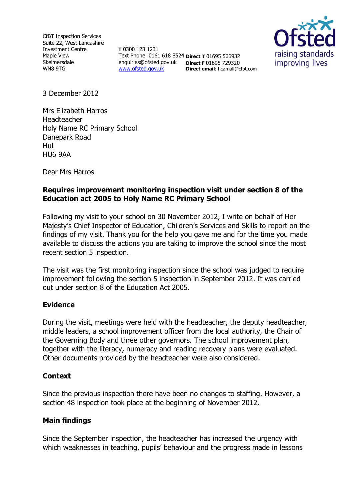CfBT Inspection Services Suite 22, West Lancashire Investment Centre Maple View Skelmersdale WN8 9TG

**T** 0300 123 1231 Text Phone: 0161 618 8524 **Direct T** 01695 566932 enquiries@ofsted.gov.uk **Direct F** 01695 729320 [www.ofsted.gov.uk](http://www.ofsted.gov.uk/) **Direct email**: hcarnall@cfbt.com



3 December 2012

Mrs Elizabeth Harros Headteacher Holy Name RC Primary School Danepark Road Hull HU6 9AA

Dear Mrs Harros

## **Requires improvement monitoring inspection visit under section 8 of the Education act 2005 to Holy Name RC Primary School**

Following my visit to your school on 30 November 2012, I write on behalf of Her Majesty's Chief Inspector of Education, Children's Services and Skills to report on the findings of my visit. Thank you for the help you gave me and for the time you made available to discuss the actions you are taking to improve the school since the most recent section 5 inspection.

The visit was the first monitoring inspection since the school was judged to require improvement following the section 5 inspection in September 2012. It was carried out under section 8 of the Education Act 2005.

### **Evidence**

During the visit, meetings were held with the headteacher, the deputy headteacher, middle leaders, a school improvement officer from the local authority, the Chair of the Governing Body and three other governors. The school improvement plan, together with the literacy, numeracy and reading recovery plans were evaluated. Other documents provided by the headteacher were also considered.

### **Context**

Since the previous inspection there have been no changes to staffing. However, a section 48 inspection took place at the beginning of November 2012.

### **Main findings**

Since the September inspection, the headteacher has increased the urgency with which weaknesses in teaching, pupils' behaviour and the progress made in lessons